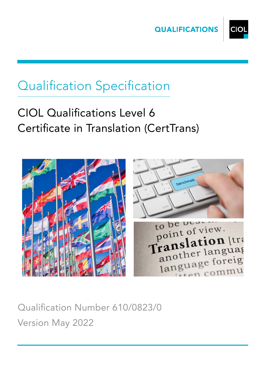



# Qualification Specification

## CIOL Qualifications Level 6 Certificate in Translation (CertTrans)





commu

Qualification Number 610/0823/0 Version May 2022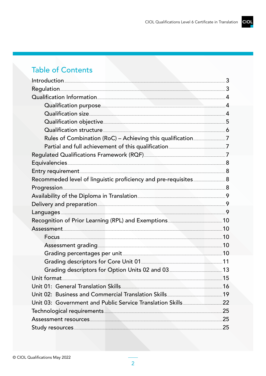## **Table of Contents**

| Regulation 3                                                                                                                                                                                                                         |  |
|--------------------------------------------------------------------------------------------------------------------------------------------------------------------------------------------------------------------------------------|--|
| Qualification Information                                                                                                                                                                                                            |  |
| Qualification purpose 4                                                                                                                                                                                                              |  |
| Qualification size                                                                                                                                                                                                                   |  |
| Qualification objective 5                                                                                                                                                                                                            |  |
| Qualification structure                                                                                                                                                                                                              |  |
|                                                                                                                                                                                                                                      |  |
| Partial and full achievement of this qualification <b>manual constant and research of the State Constant Constant</b>                                                                                                                |  |
|                                                                                                                                                                                                                                      |  |
|                                                                                                                                                                                                                                      |  |
|                                                                                                                                                                                                                                      |  |
|                                                                                                                                                                                                                                      |  |
| Progression 38                                                                                                                                                                                                                       |  |
|                                                                                                                                                                                                                                      |  |
|                                                                                                                                                                                                                                      |  |
| Languages 9                                                                                                                                                                                                                          |  |
| Recognition of Prior Learning (RPL) and Exemptions <b>Example 20</b> 10                                                                                                                                                              |  |
|                                                                                                                                                                                                                                      |  |
|                                                                                                                                                                                                                                      |  |
| Assessment grading <b>Executive Strategie and Assessment</b> 10                                                                                                                                                                      |  |
| Grading percentages per unit <u>[</u> [11] States and the set of the set of the set of the set of the set of the set of the set of the set of the set of the set of the set of the set of the set of the set of the set of the set o |  |
| Grading descriptors for Core Unit 01 <b>Manual Coreman Corporation</b> 11                                                                                                                                                            |  |
| Grading descriptors for Option Units 02 and 03 <b>Manual Action 13</b>                                                                                                                                                               |  |
| Unit format 15                                                                                                                                                                                                                       |  |
| Unit 01: General Translation Skills [100] 16 [100] 16                                                                                                                                                                                |  |
|                                                                                                                                                                                                                                      |  |
|                                                                                                                                                                                                                                      |  |
|                                                                                                                                                                                                                                      |  |
|                                                                                                                                                                                                                                      |  |
|                                                                                                                                                                                                                                      |  |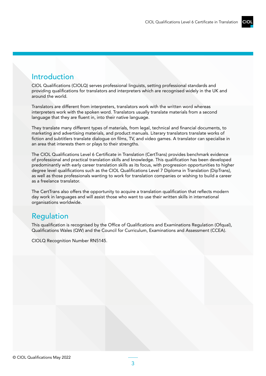### <span id="page-2-0"></span>Introduction

CIOL Qualifications (CIOLQ) serves professional linguists, setting professional standards and providing qualifications for translators and interpreters which are recognised widely in the UK and around the world.

Translators are different from interpreters, translators work with the written word whereas interpreters work with the spoken word. Translators usually translate materials from a second language that they are fluent in, into their native language.

They translate many different types of materials, from legal, technical and financial documents, to marketing and advertising materials, and product manuals. Literary translators translate works of fiction and subtitlers translate dialogue on films, TV, and video games. A translator can specialise in an area that interests them or plays to their strengths.

The CIOL Qualifications Level 6 Certificate in Translation (CertTrans) provides benchmark evidence of professional and practical translation skills and knowledge. This qualification has been developed predominantly with early career translation skills as its focus, with progression opportunities to higher degree level qualifications such as the CIOL Qualifications Level 7 Diploma in Translation (DipTrans), as well as those professionals wanting to work for translation companies or wishing to build a career as a freelance translator.

The CertTrans also offers the opportunity to acquire a translation qualification that reflects modern day work in languages and will assist those who want to use their written skills in international organisations worldwide.

### Regulation

This qualification is recognised by the Office of Qualifications and Examinations Regulation (Ofqual), Qualifications Wales (QW) and the Council for Curriculum, Examinations and Assessment (CCEA).

CIOLQ Recognition Number RN5145.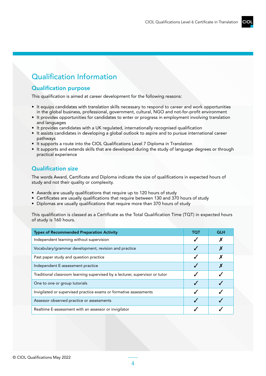### Qualification Information

### Qualification purpose

This qualification is aimed at career development for the following reasons:

- It equips candidates with translation skills necessary to respond to career and work opportunities in the global business, professional, government, cultural, NGO and not-for-profit environment
- It provides opportunities for candidates to enter or progress in employment involving translation and languages
- It provides candidates with a UK regulated, internationally recognised qualification
- It assists candidates in developing a global outlook to aspire and to pursue international career pathways
- It supports a route into the CIOL Qualifications Level 7 Diploma in Translation
- It supports and extends skills that are developed during the study of language degrees or through practical experience

### Qualification size

The words Award, Certificate and Diploma indicate the size of qualifications in expected hours of study and not their quality or complexity.

- Awards are usually qualifications that require up to 120 hours of study
- Certificates are usually qualifications that require between 130 and 370 hours of study
- Diplomas are usually qualifications that require more than 370 hours of study

This qualification is classed as a Certificate as the Total Qualification Time (TQT) in expected hours of study is 160 hours.

| <b>Types of Recommended Preparation Activity</b>                             | тот | GLH |
|------------------------------------------------------------------------------|-----|-----|
| Independent learning without supervision                                     |     |     |
| Vocabulary/grammar development, revision and practice                        |     |     |
| Past paper study and question practice                                       |     |     |
| Independent E-assessment practice                                            |     |     |
| Traditional classroom learning supervised by a lecturer, supervisor or tutor |     |     |
| One to one or group tutorials                                                |     |     |
| Invigilated or supervised practice exams or formative assessments            |     |     |
| Assessor observed practice or assessments                                    |     |     |
| Realtime E-assessment with an assessor or invigilator                        |     |     |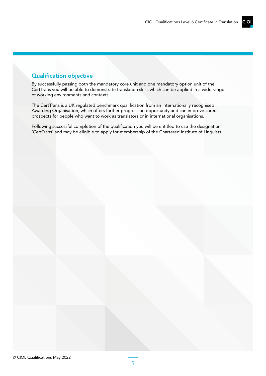### Qualification objective

By successfully passing both the mandatory core unit and one mandatory option unit of the CertTrans you will be able to demonstrate translation skills which can be applied in a wide range of working environments and contexts.

The CertTrans is a UK regulated benchmark qualification from an internationally recognised Awarding Organisation, which offers further progression opportunity and can improve career prospects for people who want to work as translators or in international organisations.

Following successful completion of the qualification you will be entitled to use the designation 'CertTrans' and may be eligible to apply for membership of the Chartered Institute of Linguists.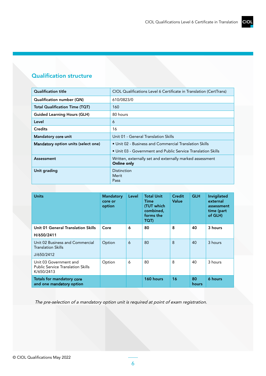### <span id="page-5-0"></span>Qualification structure

| <b>Qualification title</b>          | CIOL Qualifications Level 6 Certificate in Translation (CertTrans)             |
|-------------------------------------|--------------------------------------------------------------------------------|
| Qualification number (QN)           | 610/0823/0                                                                     |
| Total Qualification Time (TQT)      | 160                                                                            |
| <b>Guided Learning Hours (GLH)</b>  | 80 hours                                                                       |
| Level                               | 6                                                                              |
| <b>Credits</b>                      | 16                                                                             |
| Mandatory core unit                 | Unit 01 - General Translation Skills                                           |
| Mandatory option units (select one) | • Unit 02 - Business and Commercial Translation Skills                         |
|                                     | • Unit 03 - Government and Public Service Translation Skills                   |
| Assessment                          | Written, externally set and externally marked assessment<br><b>Online only</b> |
| Unit grading                        | Distinction<br>Merit<br>Pass                                                   |

| <b>Units</b>                                                                     | <b>Mandatory</b><br>core or<br>option | Level | <b>Total Unit</b><br><b>Time</b><br>(TUT which<br>combined,<br>forms the<br>TQT) | Credit<br>Value | <b>GLH</b>         | Invigilated<br>external<br>assessment<br>time (part<br>of GLH) |
|----------------------------------------------------------------------------------|---------------------------------------|-------|----------------------------------------------------------------------------------|-----------------|--------------------|----------------------------------------------------------------|
| Unit 01 General Translation Skills                                               | Core                                  | 6     | 80                                                                               | 8               | 40                 | 3 hours                                                        |
| H/650/2411                                                                       |                                       |       |                                                                                  |                 |                    |                                                                |
| Unit 02 Business and Commercial<br><b>Translation Skills</b>                     | Option                                | 6     | 80                                                                               | 8               | 40                 | 3 hours                                                        |
| J/650/2412                                                                       |                                       |       |                                                                                  |                 |                    |                                                                |
| Unit 03 Government and<br><b>Public Service Translation Skills</b><br>K/650/2413 | Option                                | 6     | 80                                                                               | 8               | 40                 | 3 hours                                                        |
| Totals for mandatory core<br>and one mandatory option                            |                                       |       | 160 hours                                                                        | 16              | 80<br><b>hours</b> | 6 hours                                                        |

The pre-selection of a mandatory option unit is required at point of exam registration.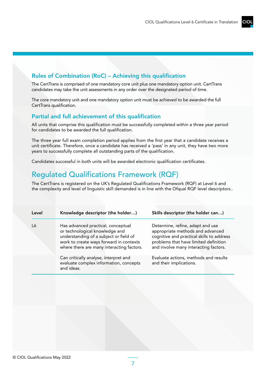### <span id="page-6-0"></span>Rules of Combination (RoC) – Achieving this qualification

The CertTrans is comprised of one mandatory core unit plus one mandatory option unit. CertTrans candidates may take the unit assessments in any order over the designated period of time.

The core mandatory unit and one mandatory option unit must be achieved to be awarded the full CertTrans qualification.

#### Partial and full achievement of this qualification

All units that comprise this qualification must be successfully completed within a three year period for candidates to be awarded the full qualification.

The three year full exam completion period applies from the first year that a candidate receives a unit certificate. Therefore, once a candidate has received a 'pass' in any unit, they have two more years to successfully complete all outstanding parts of the qualification.

Candidates successful in both units will be awarded electronic qualification certificates.

### Regulated Qualifications Framework (RQF)

The CertTrans is registered on the UK's Regulated Qualifications Framework (RQF) at Level 6 and the complexity and level of linguistic skill demanded is in line with the Ofqual RQF level descriptors..

| Level | Knowledge descriptor (the holder)                                                                                                                                                                      | Skills descriptor (the holder can)                                                                                                                                                                  |
|-------|--------------------------------------------------------------------------------------------------------------------------------------------------------------------------------------------------------|-----------------------------------------------------------------------------------------------------------------------------------------------------------------------------------------------------|
| I 6   | Has advanced practical, conceptual<br>or technological knowledge and<br>understanding of a subject or field of<br>work to create ways forward in contexts<br>where there are many interacting factors. | Determine, refine, adapt and use<br>appropriate methods and advanced<br>cognitive and practical skills to address<br>problems that have limited definition<br>and involve many interacting factors. |
|       | Can critically analyse, interpret and<br>evaluate complex information, concepts<br>and ideas.                                                                                                          | Evaluate actions, methods and results<br>and their implications.                                                                                                                                    |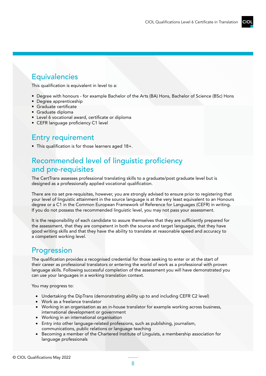### **Equivalencies**

This qualification is equivalent in level to a:

- Degree with honours for example Bachelor of the Arts (BA) Hons, Bachelor of Science (BSc) Hons
- Degree apprenticeship
- Graduate certificate
- Graduate diploma
- Level 6 vocational award, certificate or diploma
- CEFR language proficiency C1 level

### Entry requirement

• This qualification is for those learners aged 18+.

### Recommended level of linguistic proficiency and pre-requisites

The CertTrans assesses professional translating skills to a graduate/post graduate level but is designed as a professionally applied vocational qualification.

There are no set pre-requisites, however, you are strongly advised to ensure prior to registering that your level of linguistic attainment in the source language is at the very least equivalent to an Honours degree or a C1 in the Common European Framework of Reference for Languages (CEFR) in writing. If you do not possess the recommended linguistic level, you may not pass your assessment.

It is the responsibility of each candidate to assure themselves that they are sufficiently prepared for the assessment, that they are competent in both the source and target languages, that they have good writing skills and that they have the ability to translate at reasonable speed and accuracy to a competent working level.

### **Progression**

The qualification provides a recognised credential for those seeking to enter or at the start of their career as professional translators or entering the world of work as a professional with proven language skills. Following successful completion of the assessment you will have demonstrated you can use your languages in a working translation context.

You may progress to:

- Undertaking the DipTrans (demonstrating ability up to and including CEFR C2 level)
- Work as a freelance translator
- Working in an organisation as an in-house translator for example working across business, international development or government
- Working in an international organisation
- Entry into other language-related professions, such as publishing, journalism, communications, public relations or language teaching
- Becoming a member of the Chartered Institute of Linguists, a membership association for language professionals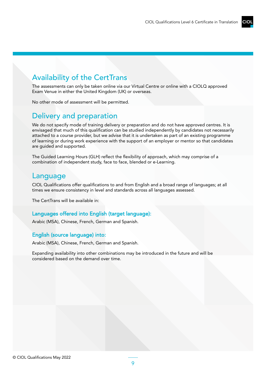### <span id="page-8-0"></span>Availability of the CertTrans

The assessments can only be taken online via our Virtual Centre or online with a CIOLQ approved Exam Venue in either the United Kingdom (UK) or overseas.

No other mode of assessment will be permitted.

### Delivery and preparation

We do not specify mode of training delivery or preparation and do not have approved centres. It is envisaged that much of this qualification can be studied independently by candidates not necessarily attached to a course provider, but we advise that it is undertaken as part of an existing programme of learning or during work experience with the support of an employer or mentor so that candidates are guided and supported.

The Guided Learning Hours (GLH) reflect the flexibility of approach, which may comprise of a combination of independent study, face to face, blended or e-Learning.

### Language

CIOL Qualifications offer qualifications to and from English and a broad range of languages; at all times we ensure consistency in level and standards across all languages assessed.

The CertTrans will be available in:

#### Languages offered into English (target language):

Arabic (MSA), Chinese, French, German and Spanish.

#### English (source language) into:

Arabic (MSA), Chinese, French, German and Spanish.

Expanding availability into other combinations may be introduced in the future and will be considered based on the demand over time.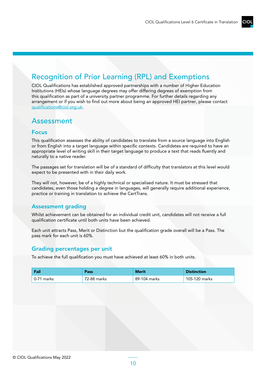### <span id="page-9-0"></span>Recognition of Prior Learning (RPL) and Exemptions

CIOL Qualifications has established approved partnerships with a number of Higher Education Institutions (HEIs) whose language degrees may offer differing degrees of exemption from this qualification as part of a university partner programme. For further details regarding any arrangement or if you wish to find out more about being an approved HEI partner, please contact [qualifications@ciol.org.uk.](mailto:qualifications%40ciol.org.uk?subject=)

### Assessment

#### Focus

This qualification assesses the ability of candidates to translate from a source language into English or from English into a target language within specific contexts. Candidates are required to have an appropriate level of writing skill in their target language to produce a text that reads fluently and naturally to a native reader.

The passages set for translation will be of a standard of difficulty that translators at this level would expect to be presented with in their daily work.

They will not, however, be of a highly technical or specialised nature. It must be stressed that candidates, even those holding a degree in languages, will generally require additional experience, practice or training in translation to achieve the CertTrans.

#### Assessment grading

Whilst achievement can be obtained for an individual credit unit, candidates will not receive a full qualification certificate until both units have been achieved.

Each unit attracts Pass, Merit or Distinction but the qualification grade overall will be a Pass. The pass mark for each unit is 60%.

#### Grading percentages per unit

To achieve the full qualification you must have achieved at least 60% in both units.

| Fail                | Pass        | <b>Merit</b> | <b>Distinction</b> |
|---------------------|-------------|--------------|--------------------|
| $\sqrt{0.71}$ marks | 72-88 marks | 89-104 marks | 105-120 marks      |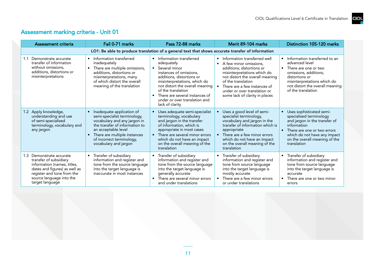### Assessment marking criteria - Unit 01

| Assessment criteria                                                                                                                                                                                | Fail 0-71 marks                                                                                                                                                                                                                          | Pass 72-88 marks                                                                                                                                                                                                                                                                              | Merit 89-104 marks                                                                                                                                                                                                                                                                                      | Distinction 105-120 marks                                                                                                                                                                                                            |  |
|----------------------------------------------------------------------------------------------------------------------------------------------------------------------------------------------------|------------------------------------------------------------------------------------------------------------------------------------------------------------------------------------------------------------------------------------------|-----------------------------------------------------------------------------------------------------------------------------------------------------------------------------------------------------------------------------------------------------------------------------------------------|---------------------------------------------------------------------------------------------------------------------------------------------------------------------------------------------------------------------------------------------------------------------------------------------------------|--------------------------------------------------------------------------------------------------------------------------------------------------------------------------------------------------------------------------------------|--|
|                                                                                                                                                                                                    | LO1: Be able to produce translation of a general text that shows accurate transfer of information                                                                                                                                        |                                                                                                                                                                                                                                                                                               |                                                                                                                                                                                                                                                                                                         |                                                                                                                                                                                                                                      |  |
| Demonstrate accurate<br>1.1<br>transfer of information<br>without omissions,<br>additions, distortions or<br>misinterpretations                                                                    | Information transferred<br>inadequately<br>There are multiple omissions,<br>additions, distortions or<br>misinterpretations, many<br>of which distort the overall<br>meaning of the translation                                          | Information transferred<br>adequately<br>Several minor<br>instances of omissions.<br>additions, distortions or<br>misinterpretations, which do<br>not distort the overall meaning<br>of the translation<br>There are several instances of<br>under or over translation and<br>lack of clarity | Information transferred well<br>$\bullet$<br>A few minor omissions.<br>$\bullet$<br>additions; distortions or<br>misinterpretations which do<br>not distort the overall meaning<br>of the translation<br>There are a few instances of<br>under or over translation or<br>some lack of clarity in places | Information transferred to an<br>$\bullet$<br>advanced level<br>There are one or two<br>$\bullet$<br>omissions, additions;<br>distortions or<br>misinterpretations which do<br>not distort the overall meaning<br>of the translation |  |
| 1.2 Apply knowledge,<br>understanding and use<br>of semi-specialised<br>terminology, vocabulary and<br>any jargon                                                                                  | Inadequate application of<br>semi-specialist terminology,<br>vocabulary and any jargon in<br>the transfer of information to<br>an acceptable level<br>There are multiple instances<br>of incorrect terminology,<br>vocabulary and jargon | Uses adequate semi-specialist<br>terminology, vocabulary<br>and jargon in the transfer<br>of information, which is<br>appropriate in most cases<br>There are several minor errors<br>which do not have an impact<br>on the overall meaning of the<br>translation                              | Uses a good level of semi-<br>specialist terminology,<br>vocabulary and jargon in the<br>transfer of information which is<br>appropriate<br>There are a few minor errors<br>which do not have an impact<br>on the overall meaning of the<br>translation                                                 | Uses sophisticated semi-<br>$\bullet$<br>specialised terminology<br>and jargon in the transfer of<br>information<br>There are one or two errors<br>which do not have any impact<br>on the overall meaning of the<br>translation      |  |
| Demonstrate accurate<br>1.3<br>transfer of subsidiary<br>information (names, titles,<br>dates and figures) as well as<br>register and tone from the<br>source language into the<br>target language | Transfer of subsidiary<br>information and register and<br>tone from the source language<br>into the target language is<br>inaccurate in most instances                                                                                   | Transfer of subsidiary<br>information and register and<br>tone from the source language<br>into the target language is<br>generally accurate<br>There are several minor errors<br>and under translations                                                                                      | Transfer of subsidiary<br>information and register and<br>tone from source language<br>into the target language is<br>mostly accurate<br>There are a few minor errors<br>or under translations                                                                                                          | Transfer of subsidiary<br>$\bullet$<br>information and register and<br>tone from source language<br>into the target language is<br>accurate<br>There are one or two minor<br>errors                                                  |  |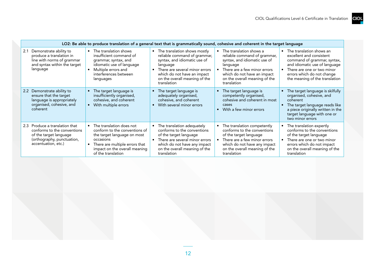|                                                                                                                                              | LO2: Be able to produce translation of a general text that is grammatically sound, cohesive and coherent in the target language                                                                  |                                                                                                                                                                                                                             |                                                                                                                                                                                                                    |                                                                                                                                                                                                                                 |
|----------------------------------------------------------------------------------------------------------------------------------------------|--------------------------------------------------------------------------------------------------------------------------------------------------------------------------------------------------|-----------------------------------------------------------------------------------------------------------------------------------------------------------------------------------------------------------------------------|--------------------------------------------------------------------------------------------------------------------------------------------------------------------------------------------------------------------|---------------------------------------------------------------------------------------------------------------------------------------------------------------------------------------------------------------------------------|
| Demonstrate ability to<br>2.1<br>produce a translation in<br>line with norms of grammar<br>and syntax within the target<br>language          | • The translation shows<br>insufficient command of<br>grammar, syntax, and<br>idiomatic use of language<br>Multiple errors and<br>interferences between<br>languages                             | • The translation shows mostly<br>reliable command of grammar,<br>syntax, and idiomatic use of<br>language<br>There are several minor errors<br>which do not have an impact<br>on the overall meaning of the<br>translation | The translation shows a<br>reliable command of grammar,<br>syntax, and idiomatic use of<br>language<br>There are a few minor errors<br>which do not have an impact<br>on the overall meaning of the<br>translation | The translation shows an<br>$\bullet$<br>excellent and consistent<br>command of grammar, syntax,<br>and idiomatic use of language<br>There are one or two minor<br>errors which do not change<br>the meaning of the translation |
| Demonstrate ability to<br>$2.2^{\circ}$<br>ensure that the target<br>language is appropriately<br>organised, cohesive, and<br>coherent       | The target language is<br>insufficiently organised,<br>cohesive, and coherent<br>With multiple errors<br>$\bullet$                                                                               | The target language is<br>adequately organised,<br>cohesive, and coherent<br>With several minor errors                                                                                                                      | The target language is<br>competently organised,<br>cohesive and coherent in most<br>cases<br>With a few minor errors<br>$\bullet$                                                                                 | The target language is skilfully<br>organised, cohesive, and<br>coherent<br>The target language reads like<br>a piece originally written in the<br>target language with one or<br>two minor errors                              |
| 2.3 Produce a translation that<br>conforms to the conventions<br>of the target language<br>(orthography, punctuation,<br>accentuation, etc.) | • The translation does not<br>conform to the conventions of<br>the target language on most<br>occasions<br>There are multiple errors that<br>impact on the overall meaning<br>of the translation | • The translation adequately<br>conforms to the conventions<br>of the target language<br>There are several minor errors<br>which do not have any impact<br>on the overall meaning of the<br>translation                     | The translation competently<br>conforms to the conventions<br>of the target language<br>There are a few minor errors<br>which do not have any impact<br>on the overall meaning of the<br>translation               | The translation expertly<br>conforms to the conventions<br>of the target language<br>There are one or two minor<br>errors which do not impact<br>on the overall meaning of the<br>translation                                   |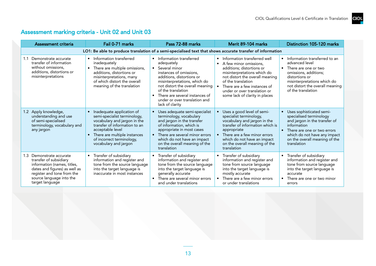### Assessment marking criteria - Unit 02 and Unit 03

| Assessment criteria                                                                                                                                                                                | Fail 0-71 marks                                                                                                                                                                                                                      | Pass 72-88 marks                                                                                                                                                                                                                                                                                | Merit 89-104 marks                                                                                                                                                                                                                                                                                      | Distinction 105-120 marks                                                                                                                                                                                                                    |  |
|----------------------------------------------------------------------------------------------------------------------------------------------------------------------------------------------------|--------------------------------------------------------------------------------------------------------------------------------------------------------------------------------------------------------------------------------------|-------------------------------------------------------------------------------------------------------------------------------------------------------------------------------------------------------------------------------------------------------------------------------------------------|---------------------------------------------------------------------------------------------------------------------------------------------------------------------------------------------------------------------------------------------------------------------------------------------------------|----------------------------------------------------------------------------------------------------------------------------------------------------------------------------------------------------------------------------------------------|--|
|                                                                                                                                                                                                    | LO1: Be able to produce translation of a semi-specialised text that shows accurate transfer of information                                                                                                                           |                                                                                                                                                                                                                                                                                                 |                                                                                                                                                                                                                                                                                                         |                                                                                                                                                                                                                                              |  |
| Demonstrate accurate<br>1.1<br>transfer of information<br>without omissions,<br>additions, distortions or<br>misinterpretations                                                                    | Information transferred<br>inadequately<br>There are multiple omissions,<br>additions, distortions or<br>misinterpretations, many<br>of which distort the overall<br>meaning of the translation                                      | • Information transferred<br>adequately<br>Several minor<br>instances of omissions.<br>additions, distortions or<br>misinterpretations, which do<br>not distort the overall meaning<br>of the translation<br>There are several instances of<br>under or over translation and<br>lack of clarity | Information transferred well<br>$\bullet$<br>A few minor omissions.<br>$\bullet$<br>additions; distortions or<br>misinterpretations which do<br>not distort the overall meaning<br>of the translation<br>There are a few instances of<br>under or over translation or<br>some lack of clarity in places | • Information transferred to an<br>advanced level<br>There are one or two<br>$\bullet$<br>omissions, additions;<br>distortions or<br>misinterpretations which do<br>not distort the overall meaning<br>of the translation                    |  |
| 1.2 Apply knowledge,<br>understanding and use<br>of semi-specialised<br>terminology, vocabulary and<br>any jargon                                                                                  | Inadequate application of<br>semi-specialist terminology,<br>vocabulary and jargon in the<br>transfer of information to an<br>acceptable level<br>There are multiple instances<br>of incorrect terminology,<br>vocabulary and jargon | Uses adequate semi-specialist<br>terminology, vocabulary<br>and jargon in the transfer<br>of information, which is<br>appropriate in most cases<br>There are several minor errors<br>which do not have an impact<br>on the overall meaning of the<br>translation                                | Uses a good level of semi-<br>specialist terminology,<br>vocabulary and jargon in the<br>transfer of information which is<br>appropriate<br>There are a few minor errors<br>$\bullet$<br>which do not have an impact<br>on the overall meaning of the<br>translation                                    | Uses sophisticated semi-<br>$\bullet$<br>specialised terminology<br>and jargon in the transfer of<br>information<br>There are one or two errors<br>$\bullet$<br>which do not have any impact<br>on the overall meaning of the<br>translation |  |
| Demonstrate accurate<br>1.3<br>transfer of subsidiary<br>information (names, titles,<br>dates and figures) as well as<br>register and tone from the<br>source language into the<br>target language | Transfer of subsidiary<br>information and register and<br>tone from the source language<br>into the target language is<br>inaccurate in most instances                                                                               | Transfer of subsidiary<br>information and register and<br>tone from the source language<br>into the target language is<br>generally accurate<br>There are several minor errors<br>and under translations                                                                                        | Transfer of subsidiary<br>information and register and<br>tone from source language<br>into the target language is<br>mostly accurate<br>There are a few minor errors<br>or under translations                                                                                                          | Transfer of subsidiary<br>information and register and<br>tone from source language<br>into the target language is<br>accurate<br>There are one or two minor<br>errors                                                                       |  |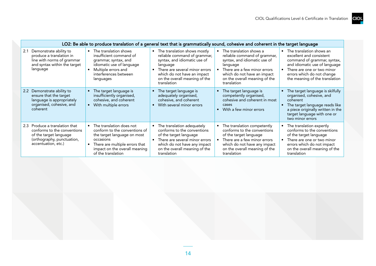|                                                                                                                                              | LO2: Be able to produce translation of a general text that is grammatically sound, cohesive and coherent in the target language                                                                |                                                                                                                                                                                                                             |                                                                                                                                                                                                                    |                                                                                                                                                                                                                      |
|----------------------------------------------------------------------------------------------------------------------------------------------|------------------------------------------------------------------------------------------------------------------------------------------------------------------------------------------------|-----------------------------------------------------------------------------------------------------------------------------------------------------------------------------------------------------------------------------|--------------------------------------------------------------------------------------------------------------------------------------------------------------------------------------------------------------------|----------------------------------------------------------------------------------------------------------------------------------------------------------------------------------------------------------------------|
| Demonstrate ability to<br>2.1<br>produce a translation in<br>line with norms of grammar<br>and syntax within the target<br>language          | • The translation shows<br>insufficient command of<br>grammar, syntax, and<br>idiomatic use of language<br>Multiple errors and<br>interferences between<br>languages                           | • The translation shows mostly<br>reliable command of grammar,<br>syntax, and idiomatic use of<br>language<br>There are several minor errors<br>which do not have an impact<br>on the overall meaning of the<br>translation | The translation shows a<br>reliable command of grammar,<br>syntax, and idiomatic use of<br>language<br>There are a few minor errors<br>which do not have an impact<br>on the overall meaning of the<br>translation | • The translation shows an<br>excellent and consistent<br>command of grammar, syntax,<br>and idiomatic use of language<br>There are one or two minor<br>errors which do not change<br>the meaning of the translation |
| Demonstrate ability to<br>2.2<br>ensure that the target<br>language is appropriately<br>organised, cohesive, and<br>coherent                 | The target language is<br>insufficiently organised,<br>cohesive, and coherent<br>With multiple errors                                                                                          | The target language is<br>adequately organised,<br>cohesive, and coherent<br>With several minor errors                                                                                                                      | The target language is<br>competently organised,<br>cohesive and coherent in most<br>cases<br>With a few minor errors                                                                                              | The target language is skilfully<br>organised, cohesive, and<br>coherent<br>The target language reads like<br>a piece originally written in the<br>target language with one or<br>two minor errors                   |
| 2.3 Produce a translation that<br>conforms to the conventions<br>of the target language<br>(orthography, punctuation,<br>accentuation, etc.) | The translation does not<br>conform to the conventions of<br>the target language on most<br>occasions<br>There are multiple errors that<br>impact on the overall meaning<br>of the translation | The translation adequately<br>conforms to the conventions<br>of the target language<br>There are several minor errors<br>which do not have any impact<br>on the overall meaning of the<br>translation                       | The translation competently<br>conforms to the conventions<br>of the target language<br>There are a few minor errors<br>which do not have any impact<br>on the overall meaning of the<br>translation               | The translation expertly<br>conforms to the conventions<br>of the target language<br>There are one or two minor<br>errors which do not impact<br>on the overall meaning of the<br>translation                        |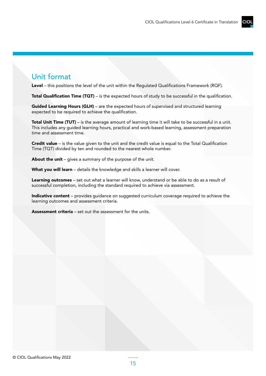### Unit format

Level – this positions the level of the unit within the Regulated Qualifications Framework (RQF).

**Total Qualification Time (TQT)** – is the expected hours of study to be successful in the qualification.

Guided Learning Hours (GLH) – are the expected hours of supervised and structured learning expected to be required to achieve the qualification.

**Total Unit Time (TUT)** – is the average amount of learning time it will take to be successful in a unit. This includes any guided learning hours, practical and work-based learning, assessment preparation time and assessment time.

Credit value – is the value given to the unit and the credit value is equal to the Total Qualification Time (TQT) divided by ten and rounded to the nearest whole number.

About the unit – gives a summary of the purpose of the unit.

What you will learn - details the knowledge and skills a learner will cover.

Learning outcomes - set out what a learner will know, understand or be able to do as a result of successful completion, including the standard required to achieve via assessment.

Indicative content – provides quidance on suggested curriculum coverage required to achieve the learning outcomes and assessment criteria.

Assessment criteria – set out the assessment for the units.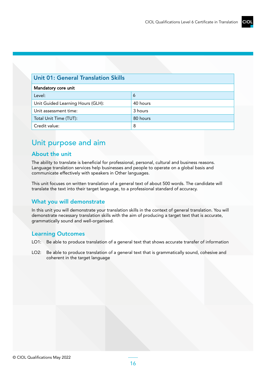| <b>Unit 01: General Translation Skills</b> |          |  |
|--------------------------------------------|----------|--|
| Mandatory core unit                        |          |  |
| Level:                                     | 6        |  |
| Unit Guided Learning Hours (GLH):          | 40 hours |  |
| Unit assessment time:                      | 3 hours  |  |
| Total Unit Time (TUT):                     | 80 hours |  |
| Credit value:                              | 8        |  |

### Unit purpose and aim

#### About the unit

The ability to translate is beneficial for professional, personal, cultural and business reasons. Language translation services help businesses and people to operate on a global basis and communicate effectively with speakers in Other languages.

This unit focuses on written translation of a general text of about 500 words. The candidate will translate the text into their target language, to a professional standard of accuracy.

#### What you will demonstrate

In this unit you will demonstrate your translation skills in the context of general translation. You will demonstrate necessary translation skills with the aim of producing a target text that is accurate, grammatically sound and well-organised.

#### Learning Outcomes

- LO1: Be able to produce translation of a general text that shows accurate transfer of information
- LO2: Be able to produce translation of a general text that is grammatically sound, cohesive and coherent in the target language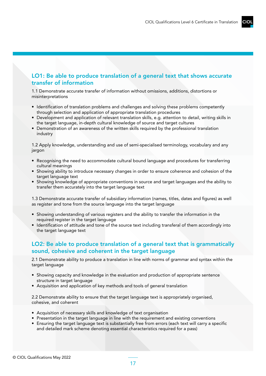### LO1: Be able to produce translation of a general text that shows accurate transfer of information

1.1 Demonstrate accurate transfer of information without omissions, additions, distortions or misinterpretations

- Identification of translation problems and challenges and solving these problems competently through selection and application of appropriate translation procedures
- Development and application of relevant translation skills, e.g. attention to detail, writing skills in the target language, in-depth cultural knowledge of source and target cultures
- Demonstration of an awareness of the written skills required by the professional translation industry

1.2 Apply knowledge, understanding and use of semi-specialised terminology, vocabulary and any jargon

- Recognising the need to accommodate cultural bound language and procedures for transferring cultural meanings
- Showing ability to introduce necessary changes in order to ensure coherence and cohesion of the target language text
- Showing knowledge of appropriate conventions in source and target languages and the ability to transfer them accurately into the target language text

1.3 Demonstrate accurate transfer of subsidiary information (names, titles, dates and figures) as well as register and tone from the source language into the target language

- Showing understanding of various registers and the ability to transfer the information in the required register in the target language
- Identification of attitude and tone of the source text including transferal of them accordingly into the target language text

#### LO2: Be able to produce translation of a general text that is grammatically sound, cohesive and coherent in the target language

2.1 Demonstrate ability to produce a translation in line with norms of grammar and syntax within the target language

- Showing capacity and knowledge in the evaluation and production of appropriate sentence structure in target language
- Acquisition and application of key methods and tools of general translation

2.2 Demonstrate ability to ensure that the target language text is appropriately organised, cohesive, and coherent

- Acquisition of necessary skills and knowledge of text organisation
- Presentation in the target language in line with the requirement and existing conventions
- Ensuring the target language text is substantially free from errors (each text will carry a specific and detailed mark scheme denoting essential characteristics required for a pass)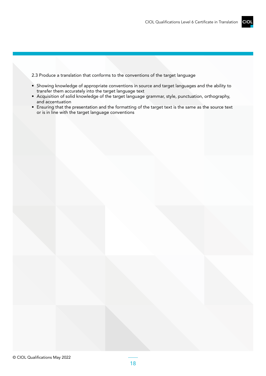2.3 Produce a translation that conforms to the conventions of the target language

- Showing knowledge of appropriate conventions in source and target languages and the ability to transfer them accurately into the target language text
- Acquisition of solid knowledge of the target language grammar, style, punctuation, orthography, and accentuation
- Ensuring that the presentation and the formatting of the target text is the same as the source text or is in line with the target language conventions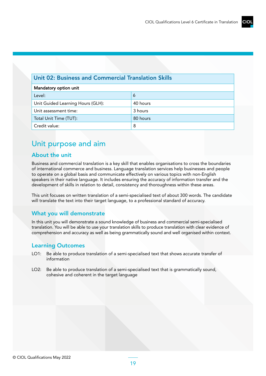### CIO

#### Unit 02: Business and Commercial Translation Skills

| Mandatory option unit             |          |  |  |
|-----------------------------------|----------|--|--|
| Level:                            | 6        |  |  |
| Unit Guided Learning Hours (GLH): | 40 hours |  |  |
| Unit assessment time:             | 3 hours  |  |  |
| Total Unit Time (TUT):            | 80 hours |  |  |
| Credit value:                     | 8        |  |  |

### Unit purpose and aim

#### About the unit

Business and commercial translation is a key skill that enables organisations to cross the boundaries of international commerce and business. Language translation services help businesses and people to operate on a global basis and communicate effectively on various topics with non-English speakers in their native language. It includes ensuring the accuracy of information transfer and the development of skills in relation to detail, consistency and thoroughness within these areas.

This unit focuses on written translation of a semi-specialised text of about 300 words. The candidate will translate the text into their target language, to a professional standard of accuracy.

### What you will demonstrate

In this unit you will demonstrate a sound knowledge of business and commercial semi-specialised translation. You will be able to use your translation skills to produce translation with clear evidence of comprehension and accuracy as well as being grammatically sound and well organised within context.

#### Learning Outcomes

- LO1: Be able to produce translation of a semi-specialised text that shows accurate transfer of information
- LO2: Be able to produce translation of a semi-specialised text that is grammatically sound, cohesive and coherent in the target language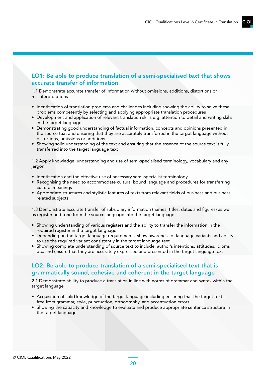#### LO1: Be able to produce translation of a semi-specialised text that shows accurate transfer of information

1.1 Demonstrate accurate transfer of information without omissions, additions, distortions or misinterpretations

- Identification of translation problems and challenges including showing the ability to solve these problems competently by selecting and applying appropriate translation procedures
- Development and application of relevant translation skills e.g. attention to detail and writing skills in the target language
- Demonstrating good understanding of factual information, concepts and opinions presented in the source text and ensuring that they are accurately transferred in the target language without distortions, omissions or additions
- Showing solid understanding of the text and ensuring that the essence of the source text is fully transferred into the target language text

1.2 Apply knowledge, understanding and use of semi-specialised terminology, vocabulary and any jargon

- Identification and the effective use of necessary semi-specialist terminology
- Recognising the need to accommodate cultural bound language and procedures for transferring cultural meanings
- Appropriate structures and stylistic features of texts from relevant fields of business and business related subjects

1.3 Demonstrate accurate transfer of subsidiary information (names, titles, dates and figures) as well as register and tone from the source language into the target language

- Showing understanding of various registers and the ability to transfer the information in the required register in the target language
- Depending on the target language requirements, show awareness of language variants and ability to use the required variant consistently in the target language text
- Showing complete understanding of source text to include; author's intentions, attitudes, idioms etc. and ensure that they are accurately expressed and presented in the target language text

#### LO2: Be able to produce translation of a semi-specialised text that is grammatically sound, cohesive and coherent in the target language

2.1 Demonstrate ability to produce a translation in line with norms of grammar and syntax within the target language

- Acquisition of solid knowledge of the target language including ensuring that the target text is free from grammar, style, punctuation, orthography, and accentuation errors
- Showing the capacity and knowledge to evaluate and produce appropriate sentence structure in the target language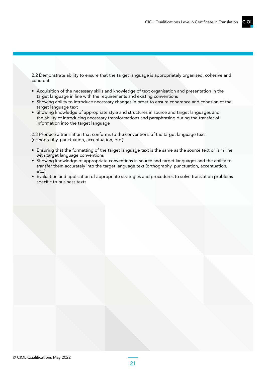2.2 Demonstrate ability to ensure that the target language is appropriately organised, cohesive and coherent

- Acquisition of the necessary skills and knowledge of text organisation and presentation in the target language in line with the requirements and existing conventions
- Showing ability to introduce necessary changes in order to ensure coherence and cohesion of the target language text
- Showing knowledge of appropriate style and structures in source and target languages and the ability of introducing necessary transformations and paraphrasing during the transfer of information into the target language

2.3 Produce a translation that conforms to the conventions of the target language text (orthography, punctuation, accentuation, etc.)

- Ensuring that the formatting of the target language text is the same as the source text or is in line with target language conventions
- Showing knowledge of appropriate conventions in source and target languages and the ability to transfer them accurately into the target language text (orthography, punctuation, accentuation, etc.)
- Evaluation and application of appropriate strategies and procedures to solve translation problems specific to business texts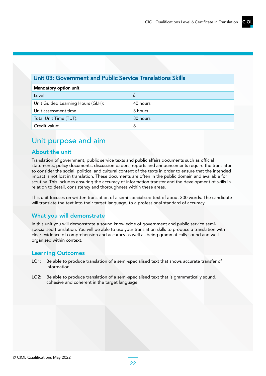#### Unit 03: Government and Public Service Translations Skills

| Mandatory option unit             |          |
|-----------------------------------|----------|
| Level:                            | 6        |
| Unit Guided Learning Hours (GLH): | 40 hours |
| Unit assessment time:             | 3 hours  |
| Total Unit Time (TUT):            | 80 hours |
| Credit value:                     | 8        |

### Unit purpose and aim

#### About the unit

Translation of government, public service texts and public affairs documents such as official statements, policy documents, discussion papers, reports and announcements require the translator to consider the social, political and cultural context of the texts in order to ensure that the intended impact is not lost in translation. These documents are often in the public domain and available for scrutiny. This includes ensuring the accuracy of information transfer and the development of skills in relation to detail, consistency and thoroughness within these areas.

This unit focuses on written translation of a semi-specialised text of about 300 words. The candidate will translate the text into their target language, to a professional standard of accuracy

#### What you will demonstrate

In this unit you will demonstrate a sound knowledge of government and public service semispecialised translation. You will be able to use your translation skills to produce a translation with clear evidence of comprehension and accuracy as well as being grammatically sound and well organised within context.

#### Learning Outcomes

- LO1: Be able to produce translation of a semi-specialised text that shows accurate transfer of information
- LO2: Be able to produce translation of a semi-specialised text that is grammatically sound, cohesive and coherent in the target language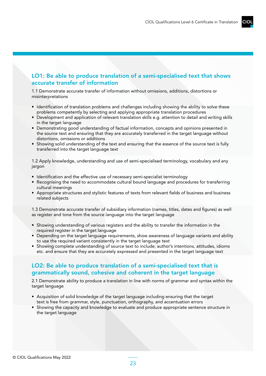#### LO1: Be able to produce translation of a semi-specialised text that shows accurate transfer of information

1.1 Demonstrate accurate transfer of information without omissions, additions, distortions or misinterpretations

- Identification of translation problems and challenges including showing the ability to solve these problems competently by selecting and applying appropriate translation procedures
- Development and application of relevant translation skills e.g. attention to detail and writing skills in the target language
- Demonstrating good understanding of factual information, concepts and opinions presented in the source text and ensuring that they are accurately transferred in the target language without distortions, omissions or additions
- Showing solid understanding of the text and ensuring that the essence of the source text is fully transferred into the target language text

1.2 Apply knowledge, understanding and use of semi-specialised terminology, vocabulary and any jargon

- Identification and the effective use of necessary semi-specialist terminology
- Recognising the need to accommodate cultural bound language and procedures for transferring cultural meanings
- Appropriate structures and stylistic features of texts from relevant fields of business and business related subjects

1.3 Demonstrate accurate transfer of subsidiary information (names, titles, dates and figures) as well as register and tone from the source language into the target language

- Showing understanding of various registers and the ability to transfer the information in the required register in the target language
- Depending on the target language requirements, show awareness of language variants and ability to use the required variant consistently in the target language text
- Showing complete understanding of source text to include; author's intentions, attitudes, idioms etc. and ensure that they are accurately expressed and presented in the target language text

#### LO2: Be able to produce translation of a semi-specialised text that is grammatically sound, cohesive and coherent in the target language

2.1 Demonstrate ability to produce a translation in line with norms of grammar and syntax within the target language

- Acquisition of solid knowledge of the target language including ensuring that the target text is free from grammar, style, punctuation, orthography, and accentuation errors
- Showing the capacity and knowledge to evaluate and produce appropriate sentence structure in the target language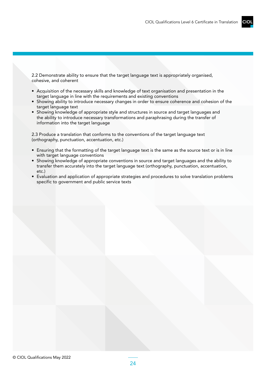2.2 Demonstrate ability to ensure that the target language text is appropriately organised, cohesive, and coherent

- Acquisition of the necessary skills and knowledge of text organisation and presentation in the target language in line with the requirements and existing conventions
- Showing ability to introduce necessary changes in order to ensure coherence and cohesion of the target language text
- Showing knowledge of appropriate style and structures in source and target languages and the ability to introduce necessary transformations and paraphrasing during the transfer of information into the target language

2.3 Produce a translation that conforms to the conventions of the target language text (orthography, punctuation, accentuation, etc.)

- Ensuring that the formatting of the target language text is the same as the source text or is in line with target language conventions
- Showing knowledge of appropriate conventions in source and target languages and the ability to transfer them accurately into the target language text (orthography, punctuation, accentuation, etc.)
- Evaluation and application of appropriate strategies and procedures to solve translation problems specific to government and public service texts